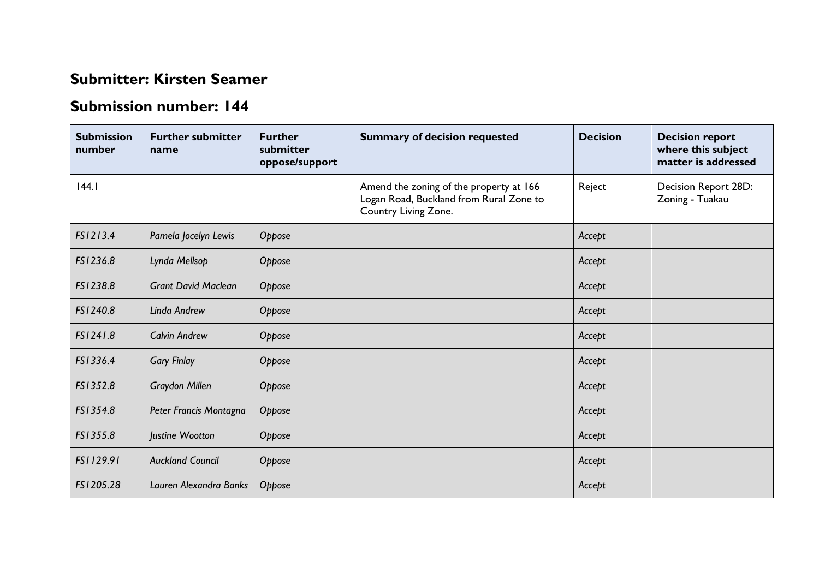## **Submitter: Kirsten Seamer**

## **Submission number: 144**

| <b>Submission</b><br>number | <b>Further submitter</b><br>name | <b>Further</b><br>submitter<br>oppose/support | <b>Summary of decision requested</b>                                                                       | <b>Decision</b> | <b>Decision report</b><br>where this subject<br>matter is addressed |
|-----------------------------|----------------------------------|-----------------------------------------------|------------------------------------------------------------------------------------------------------------|-----------------|---------------------------------------------------------------------|
| 144.1                       |                                  |                                               | Amend the zoning of the property at 166<br>Logan Road, Buckland from Rural Zone to<br>Country Living Zone. | Reject          | Decision Report 28D:<br>Zoning - Tuakau                             |
| FS1213.4                    | Pamela Jocelyn Lewis             | Oppose                                        |                                                                                                            | Accept          |                                                                     |
| FS1236.8                    | Lynda Mellsop                    | Oppose                                        |                                                                                                            | Accept          |                                                                     |
| FS1238.8                    | <b>Grant David Maclean</b>       | Oppose                                        |                                                                                                            | Accept          |                                                                     |
| FS1240.8                    | Linda Andrew                     | Oppose                                        |                                                                                                            | Accept          |                                                                     |
| FS1241.8                    | <b>Calvin Andrew</b>             | Oppose                                        |                                                                                                            | Accept          |                                                                     |
| FS1336.4                    | <b>Gary Finlay</b>               | Oppose                                        |                                                                                                            | Accept          |                                                                     |
| FS1352.8                    | <b>Graydon Millen</b>            | Oppose                                        |                                                                                                            | Accept          |                                                                     |
| FS1354.8                    | Peter Francis Montagna           | Oppose                                        |                                                                                                            | Accept          |                                                                     |
| FS1355.8                    | Justine Wootton                  | Oppose                                        |                                                                                                            | Accept          |                                                                     |
| FS1129.91                   | <b>Auckland Council</b>          | Oppose                                        |                                                                                                            | Accept          |                                                                     |
| FS1205.28                   | Lauren Alexandra Banks           | Oppose                                        |                                                                                                            | Accept          |                                                                     |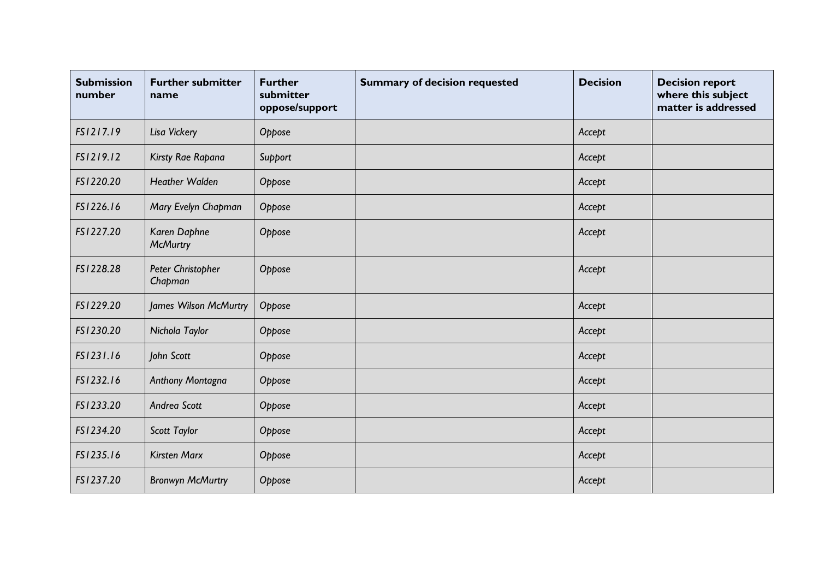| <b>Submission</b><br>number | <b>Further submitter</b><br>name | <b>Further</b><br>submitter<br>oppose/support | <b>Summary of decision requested</b> | <b>Decision</b> | <b>Decision report</b><br>where this subject<br>matter is addressed |
|-----------------------------|----------------------------------|-----------------------------------------------|--------------------------------------|-----------------|---------------------------------------------------------------------|
| FS1217.19                   | Lisa Vickery                     | Oppose                                        |                                      | Accept          |                                                                     |
| FS1219.12                   | Kirsty Rae Rapana                | Support                                       |                                      | Accept          |                                                                     |
| FS1220.20                   | <b>Heather Walden</b>            | Oppose                                        |                                      | Accept          |                                                                     |
| FS1226.16                   | Mary Evelyn Chapman              | Oppose                                        |                                      | Accept          |                                                                     |
| FS1227.20                   | Karen Daphne<br><b>McMurtry</b>  | Oppose                                        |                                      | Accept          |                                                                     |
| FS1228.28                   | Peter Christopher<br>Chapman     | Oppose                                        |                                      | Accept          |                                                                     |
| FS1229.20                   | James Wilson McMurtry            | Oppose                                        |                                      | Accept          |                                                                     |
| FS1230.20                   | Nichola Taylor                   | Oppose                                        |                                      | Accept          |                                                                     |
| FS1231.16                   | John Scott                       | Oppose                                        |                                      | Accept          |                                                                     |
| FS1232.16                   | Anthony Montagna                 | Oppose                                        |                                      | Accept          |                                                                     |
| FS1233.20                   | Andrea Scott                     | Oppose                                        |                                      | Accept          |                                                                     |
| FS1234.20                   | Scott Taylor                     | Oppose                                        |                                      | Accept          |                                                                     |
| FS1235.16                   | <b>Kirsten Marx</b>              | Oppose                                        |                                      | Accept          |                                                                     |
| FS1237.20                   | <b>Bronwyn McMurtry</b>          | Oppose                                        |                                      | Accept          |                                                                     |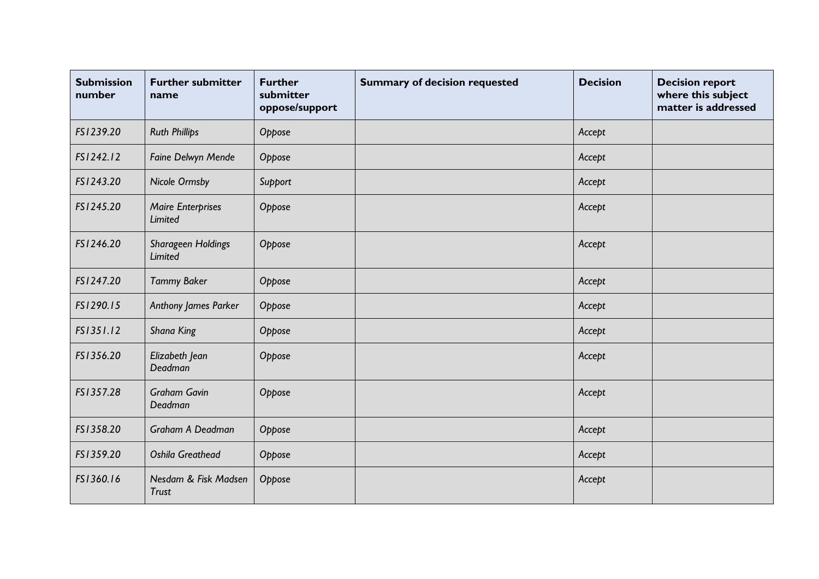| <b>Submission</b><br>number | <b>Further submitter</b><br>name           | <b>Further</b><br>submitter<br>oppose/support | <b>Summary of decision requested</b> | <b>Decision</b> | <b>Decision report</b><br>where this subject<br>matter is addressed |
|-----------------------------|--------------------------------------------|-----------------------------------------------|--------------------------------------|-----------------|---------------------------------------------------------------------|
| FS1239.20                   | <b>Ruth Phillips</b>                       | Oppose                                        |                                      | Accept          |                                                                     |
| FS1242.12                   | Faine Delwyn Mende                         | Oppose                                        |                                      | Accept          |                                                                     |
| FS1243.20                   | <b>Nicole Ormsby</b>                       | Support                                       |                                      | Accept          |                                                                     |
| FS1245.20                   | <b>Maire Enterprises</b><br><b>Limited</b> | Oppose                                        |                                      | Accept          |                                                                     |
| FS1246.20                   | <b>Sharageen Holdings</b><br>Limited       | Oppose                                        |                                      | Accept          |                                                                     |
| FS1247.20                   | <b>Tammy Baker</b>                         | Oppose                                        |                                      | Accept          |                                                                     |
| FS1290.15                   | Anthony James Parker                       | Oppose                                        |                                      | Accept          |                                                                     |
| FS1351.12                   | <b>Shana King</b>                          | Oppose                                        |                                      | Accept          |                                                                     |
| FS1356.20                   | Elizabeth Jean<br>Deadman                  | Oppose                                        |                                      | Accept          |                                                                     |
| FS1357.28                   | <b>Graham Gavin</b><br>Deadman             | Oppose                                        |                                      | Accept          |                                                                     |
| FS1358.20                   | Graham A Deadman                           | Oppose                                        |                                      | Accept          |                                                                     |
| FS1359.20                   | <b>Oshila Greathead</b>                    | Oppose                                        |                                      | Accept          |                                                                     |
| FS1360.16                   | Nesdam & Fisk Madsen<br><b>Trust</b>       | Oppose                                        |                                      | Accept          |                                                                     |